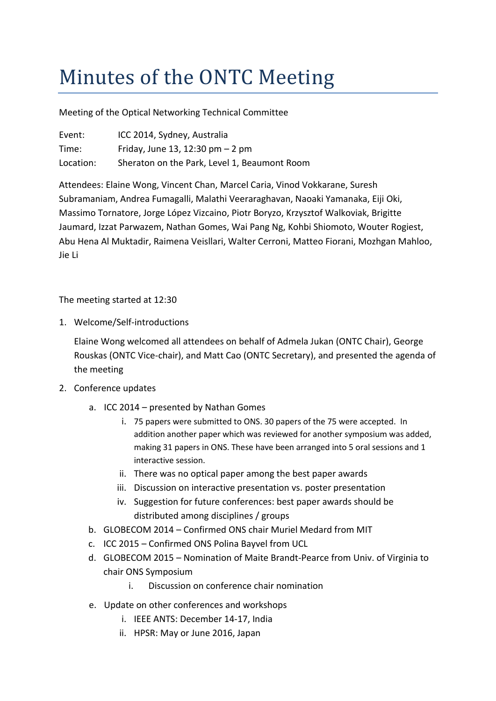## Minutes of the ONTC Meeting

Meeting of the Optical Networking Technical Committee

| Event:    | ICC 2014, Sydney, Australia                  |
|-----------|----------------------------------------------|
| Time:     | Friday, June 13, 12:30 pm $-2$ pm            |
| Location: | Sheraton on the Park, Level 1, Beaumont Room |

Attendees: Elaine Wong, Vincent Chan, Marcel Caria, Vinod Vokkarane, Suresh Subramaniam, Andrea Fumagalli, Malathi Veeraraghavan, Naoaki Yamanaka, Eiji Oki, Massimo Tornatore, Jorge López Vizcaino, Piotr Boryzo, Krzysztof Walkoviak, Brigitte Jaumard, Izzat Parwazem, Nathan Gomes, Wai Pang Ng, Kohbi Shiomoto, Wouter Rogiest, Abu Hena Al Muktadir, Raimena Veisllari, Walter Cerroni, Matteo Fiorani, Mozhgan Mahloo, Jie Li

The meeting started at 12:30

1. Welcome/Self-introductions

Elaine Wong welcomed all attendees on behalf of Admela Jukan (ONTC Chair), George Rouskas (ONTC Vice-chair), and Matt Cao (ONTC Secretary), and presented the agenda of the meeting

- 2. Conference updates
	- a. ICC 2014 presented by Nathan Gomes
		- i. 75 papers were submitted to ONS. 30 papers of the 75 were accepted. In addition another paper which was reviewed for another symposium was added, making 31 papers in ONS. These have been arranged into 5 oral sessions and 1 interactive session.
		- ii. There was no optical paper among the best paper awards
		- iii. Discussion on interactive presentation vs. poster presentation
		- iv. Suggestion for future conferences: best paper awards should be distributed among disciplines / groups
	- b. GLOBECOM 2014 Confirmed ONS chair Muriel Medard from MIT
	- c. ICC 2015 Confirmed ONS Polina Bayvel from UCL
	- d. GLOBECOM 2015 Nomination of Maite Brandt-Pearce from Univ. of Virginia to chair ONS Symposium
		- i. Discussion on conference chair nomination
	- e. Update on other conferences and workshops
		- i. IEEE ANTS: December 14-17, India
		- ii. HPSR: May or June 2016, Japan